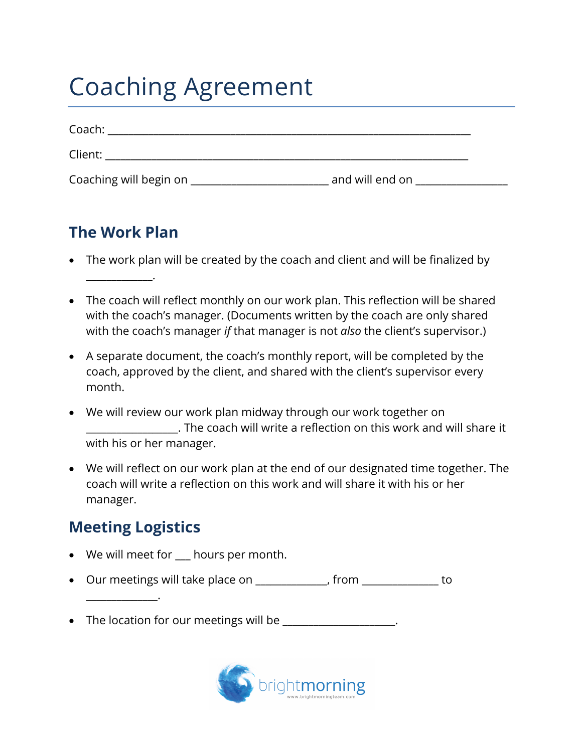## Coaching Agreement

| Coach:                 |                 |  |
|------------------------|-----------------|--|
| Client:                |                 |  |
| Coaching will begin on | and will end on |  |

## **The Work Plan**

\_\_\_\_\_\_\_\_\_\_\_\_\_.

- The work plan will be created by the coach and client and will be finalized by
- The coach will reflect monthly on our work plan. This reflection will be shared with the coach's manager. (Documents written by the coach are only shared with the coach's manager *if* that manager is not *also* the client's supervisor.)
- A separate document, the coach's monthly report, will be completed by the coach, approved by the client, and shared with the client's supervisor every month.
- We will review our work plan midway through our work together on \_\_\_\_\_\_\_\_\_\_\_\_\_\_\_\_\_\_. The coach will write a reflection on this work and will share it with his or her manager.
- We will reflect on our work plan at the end of our designated time together. The coach will write a reflection on this work and will share it with his or her manager.

## **Meeting Logistics**

\_\_\_\_\_\_\_\_\_\_\_\_\_\_.

- We will meet for hours per month.
- Our meetings will take place on \_\_\_\_\_\_\_\_\_\_\_\_\_\_, from \_\_\_\_\_\_\_\_\_\_\_\_\_\_\_ to
- The location for our meetings will be \_\_\_\_\_\_\_\_\_\_\_\_\_\_\_\_\_\_\_\_.

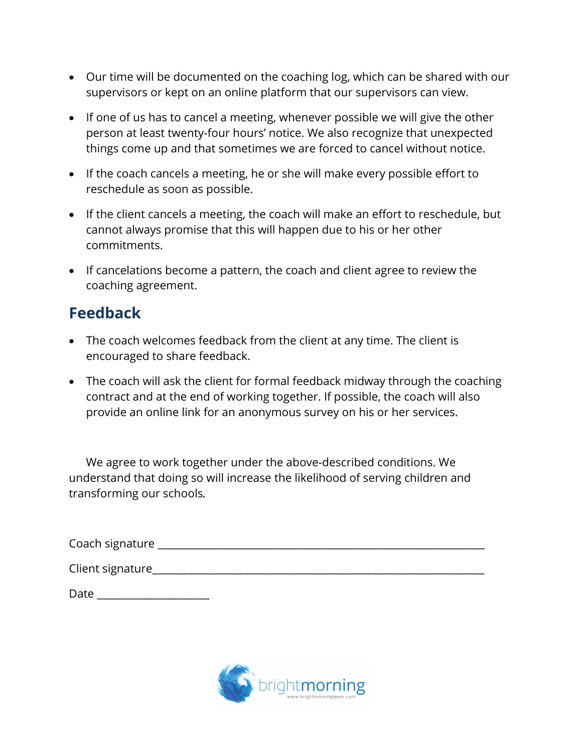- Our time will be documented on the coaching log, which can be shared with our supervisors or kept on an online platform that our supervisors can view.
- If one of us has to cancel a meeting, whenever possible we will give the other person at least twenty-four hours' notice. We also recognize that unexpected things come up and that sometimes we are forced to cancel without notice.
- If the coach cancels a meeting, he or she will make every possible effort to reschedule as soon as possible.
- If the client cancels a meeting, the coach will make an effort to reschedule, but cannot always promise that this will happen due to his or her other commitments.
- If cancelations become a pattern, the coach and client agree to review the coaching agreement.

## **Feedback**

- The coach welcomes feedback from the client at any time. The client is encouraged to share feedback.
- The coach will ask the client for formal feedback midway through the coaching contract and at the end of working together. If possible, the coach will also provide an online link for an anonymous survey on his or her services.

We agree to work together under the above-described conditions. We understand that doing so will increase the likelihood of serving children and transforming our schools*.* 

| Coach signature   |  |  |  |
|-------------------|--|--|--|
| Client signature_ |  |  |  |
| Date              |  |  |  |